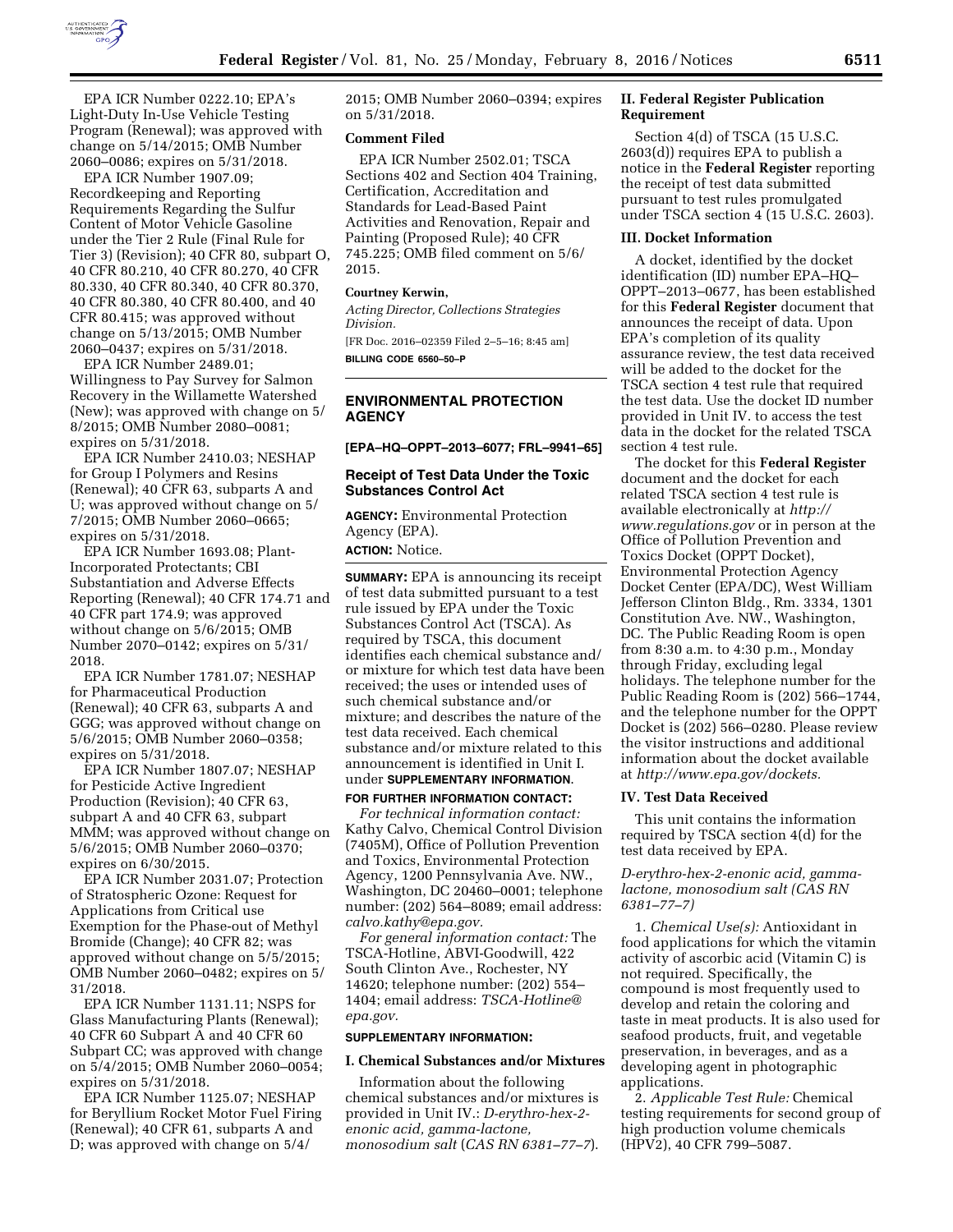

EPA ICR Number 0222.10; EPA's Light-Duty In-Use Vehicle Testing Program (Renewal); was approved with change on 5/14/2015; OMB Number 2060–0086; expires on 5/31/2018.

EPA ICR Number 1907.09; Recordkeeping and Reporting Requirements Regarding the Sulfur Content of Motor Vehicle Gasoline under the Tier 2 Rule (Final Rule for Tier 3) (Revision); 40 CFR 80, subpart O, 40 CFR 80.210, 40 CFR 80.270, 40 CFR 80.330, 40 CFR 80.340, 40 CFR 80.370, 40 CFR 80.380, 40 CFR 80.400, and 40 CFR 80.415; was approved without change on 5/13/2015; OMB Number 2060–0437; expires on 5/31/2018.

EPA ICR Number 2489.01; Willingness to Pay Survey for Salmon Recovery in the Willamette Watershed (New); was approved with change on 5/ 8/2015; OMB Number 2080–0081; expires on 5/31/2018.

EPA ICR Number 2410.03; NESHAP for Group I Polymers and Resins (Renewal); 40 CFR 63, subparts A and U; was approved without change on 5/ 7/2015; OMB Number 2060–0665; expires on 5/31/2018.

EPA ICR Number 1693.08; Plant-Incorporated Protectants; CBI Substantiation and Adverse Effects Reporting (Renewal); 40 CFR 174.71 and 40 CFR part 174.9; was approved without change on 5/6/2015; OMB Number 2070–0142; expires on 5/31/ 2018.

EPA ICR Number 1781.07; NESHAP for Pharmaceutical Production (Renewal); 40 CFR 63, subparts A and GGG; was approved without change on 5/6/2015; OMB Number 2060–0358; expires on 5/31/2018.

EPA ICR Number 1807.07; NESHAP for Pesticide Active Ingredient Production (Revision); 40 CFR 63, subpart A and 40 CFR 63, subpart MMM; was approved without change on 5/6/2015; OMB Number 2060–0370; expires on 6/30/2015.

EPA ICR Number 2031.07; Protection of Stratospheric Ozone: Request for Applications from Critical use Exemption for the Phase-out of Methyl Bromide (Change); 40 CFR 82; was approved without change on 5/5/2015; OMB Number 2060–0482; expires on 5/ 31/2018.

EPA ICR Number 1131.11; NSPS for Glass Manufacturing Plants (Renewal); 40 CFR 60 Subpart A and 40 CFR 60 Subpart CC; was approved with change on 5/4/2015; OMB Number 2060–0054; expires on 5/31/2018.

EPA ICR Number 1125.07; NESHAP for Beryllium Rocket Motor Fuel Firing (Renewal); 40 CFR 61, subparts A and D; was approved with change on 5/4/

2015; OMB Number 2060–0394; expires on 5/31/2018.

## **Comment Filed**

EPA ICR Number 2502.01; TSCA Sections 402 and Section 404 Training, Certification, Accreditation and Standards for Lead-Based Paint Activities and Renovation, Repair and Painting (Proposed Rule); 40 CFR 745.225; OMB filed comment on 5/6/ 2015.

#### **Courtney Kerwin,**

*Acting Director, Collections Strategies Division.* 

[FR Doc. 2016–02359 Filed 2–5–16; 8:45 am] **BILLING CODE 6560–50–P** 

### **ENVIRONMENTAL PROTECTION AGENCY**

**[EPA–HQ–OPPT–2013–6077; FRL–9941–65]** 

# **Receipt of Test Data Under the Toxic Substances Control Act**

**AGENCY:** Environmental Protection Agency (EPA). **ACTION:** Notice.

**SUMMARY:** EPA is announcing its receipt of test data submitted pursuant to a test rule issued by EPA under the Toxic Substances Control Act (TSCA). As required by TSCA, this document identifies each chemical substance and/ or mixture for which test data have been received; the uses or intended uses of such chemical substance and/or mixture; and describes the nature of the test data received. Each chemical substance and/or mixture related to this announcement is identified in Unit I. under **SUPPLEMENTARY INFORMATION**.

**FOR FURTHER INFORMATION CONTACT:** *For technical information contact:*  Kathy Calvo, Chemical Control Division (7405M), Office of Pollution Prevention and Toxics, Environmental Protection Agency, 1200 Pennsylvania Ave. NW., Washington, DC 20460–0001; telephone number: (202) 564–8089; email address: *[calvo.kathy@epa.gov.](mailto:calvo.kathy@epa.gov)* 

*For general information contact:* The TSCA-Hotline, ABVI-Goodwill, 422 South Clinton Ave., Rochester, NY 14620; telephone number: (202) 554– 1404; email address: *[TSCA-Hotline@](mailto:TSCA-Hotline@epa.gov) [epa.gov.](mailto:TSCA-Hotline@epa.gov)* 

#### **SUPPLEMENTARY INFORMATION:**

#### **I. Chemical Substances and/or Mixtures**

Information about the following chemical substances and/or mixtures is provided in Unit IV.: *D-erythro-hex-2 enonic acid, gamma-lactone, monosodium salt* (*CAS RN 6381–77–7*).

# **II. Federal Register Publication Requirement**

Section 4(d) of TSCA (15 U.S.C. 2603(d)) requires EPA to publish a notice in the **Federal Register** reporting the receipt of test data submitted pursuant to test rules promulgated under TSCA section 4 (15 U.S.C. 2603).

### **III. Docket Information**

A docket, identified by the docket identification (ID) number EPA–HQ– OPPT–2013–0677, has been established for this **Federal Register** document that announces the receipt of data. Upon EPA's completion of its quality assurance review, the test data received will be added to the docket for the TSCA section 4 test rule that required the test data. Use the docket ID number provided in Unit IV. to access the test data in the docket for the related TSCA section 4 test rule.

The docket for this **Federal Register**  document and the docket for each related TSCA section 4 test rule is available electronically at *[http://](http://www.regulations.gov) [www.regulations.gov](http://www.regulations.gov)* or in person at the Office of Pollution Prevention and Toxics Docket (OPPT Docket), Environmental Protection Agency Docket Center (EPA/DC), West William Jefferson Clinton Bldg., Rm. 3334, 1301 Constitution Ave. NW., Washington, DC. The Public Reading Room is open from 8:30 a.m. to 4:30 p.m., Monday through Friday, excluding legal holidays. The telephone number for the Public Reading Room is (202) 566–1744, and the telephone number for the OPPT Docket is (202) 566–0280. Please review the visitor instructions and additional information about the docket available at *[http://www.epa.gov/dockets.](http://www.epa.gov/dockets)* 

# **IV. Test Data Received**

This unit contains the information required by TSCA section 4(d) for the test data received by EPA.

*D-erythro-hex-2-enonic acid, gammalactone, monosodium salt (CAS RN 6381–77–7)* 

1. *Chemical Use(s):* Antioxidant in food applications for which the vitamin activity of ascorbic acid (Vitamin C) is not required. Specifically, the compound is most frequently used to develop and retain the coloring and taste in meat products. It is also used for seafood products, fruit, and vegetable preservation, in beverages, and as a developing agent in photographic applications.

2. *Applicable Test Rule:* Chemical testing requirements for second group of high production volume chemicals (HPV2), 40 CFR 799–5087.